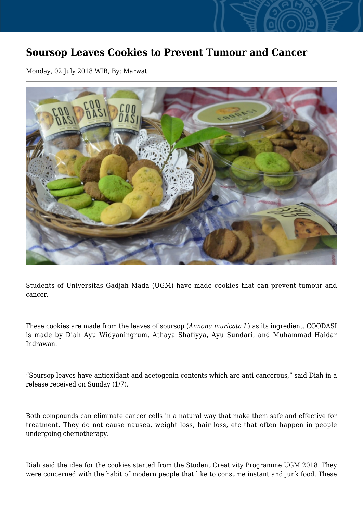## **Soursop Leaves Cookies to Prevent Tumour and Cancer**

Monday, 02 July 2018 WIB, By: Marwati



Students of Universitas Gadjah Mada (UGM) have made cookies that can prevent tumour and cancer.

These cookies are made from the leaves of soursop (*Annona muricata L*) as its ingredient. COODASI is made by Diah Ayu Widyaningrum, Athaya Shafiyya, Ayu Sundari, and Muhammad Haidar Indrawan.

"Soursop leaves have antioxidant and acetogenin contents which are anti-cancerous," said Diah in a release received on Sunday (1/7).

Both compounds can eliminate cancer cells in a natural way that make them safe and effective for treatment. They do not cause nausea, weight loss, hair loss, etc that often happen in people undergoing chemotherapy.

Diah said the idea for the cookies started from the Student Creativity Programme UGM 2018. They were concerned with the habit of modern people that like to consume instant and junk food. These